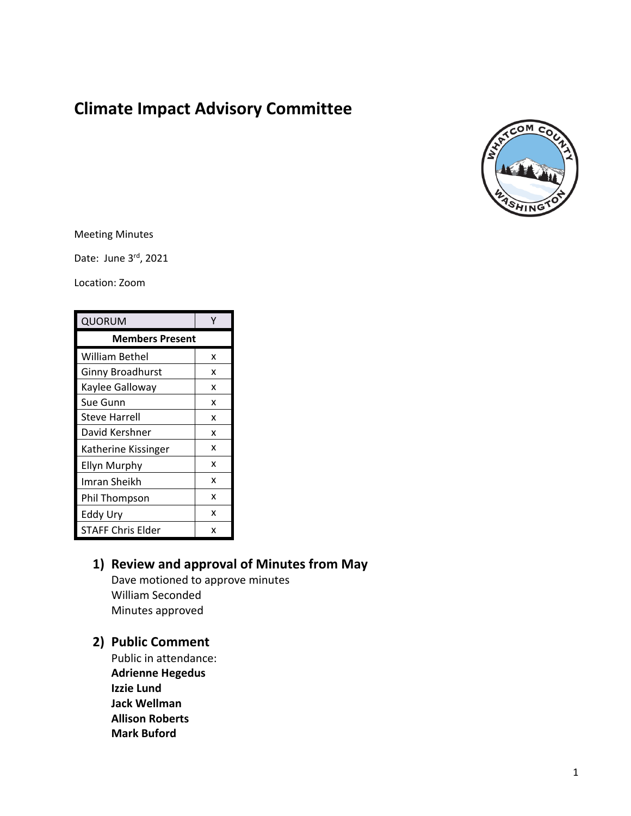# **Climate Impact Advisory Committee**



#### Meeting Minutes

Date: June 3rd, 2021

Location: Zoom

| QUORUM                   |   |
|--------------------------|---|
| <b>Members Present</b>   |   |
| <b>William Bethel</b>    | x |
| <b>Ginny Broadhurst</b>  | x |
| Kaylee Galloway          | x |
| Sue Gunn                 | x |
| Steve Harrell            | x |
| David Kershner           | x |
| Katherine Kissinger      | x |
| <b>Ellyn Murphy</b>      | x |
| Imran Sheikh             | x |
| Phil Thompson            | x |
| Eddy Ury                 | x |
| <b>STAFF Chris Elder</b> | x |

## **1) Review and approval of Minutes from May**

Dave motioned to approve minutes William Seconded Minutes approved

## **2) Public Comment**

Public in attendance: **Adrienne Hegedus Izzie Lund Jack Wellman Allison Roberts Mark Buford**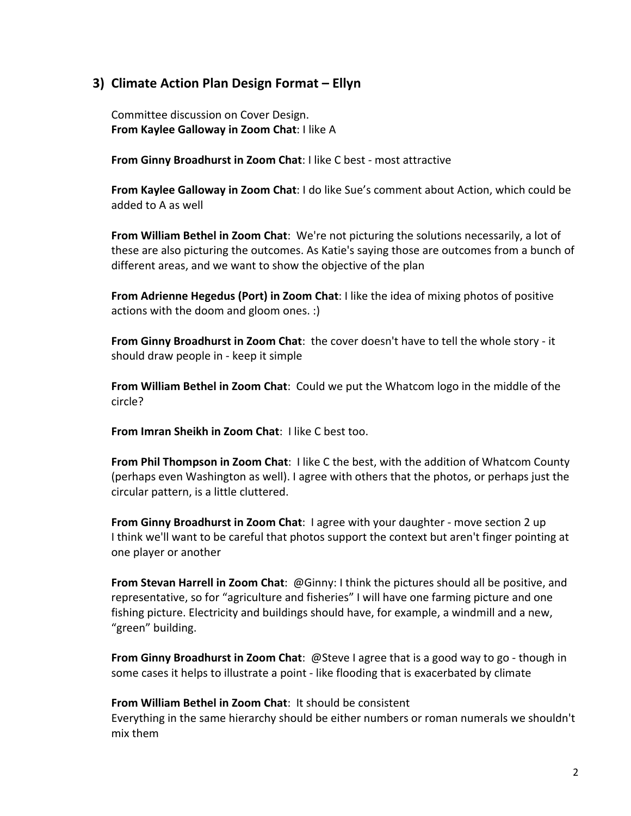## **3) Climate Action Plan Design Format – Ellyn**

Committee discussion on Cover Design. **From Kaylee Galloway in Zoom Chat**: I like A

**From Ginny Broadhurst in Zoom Chat**: I like C best - most attractive

**From Kaylee Galloway in Zoom Chat**: I do like Sue's comment about Action, which could be added to A as well

**From William Bethel in Zoom Chat**: We're not picturing the solutions necessarily, a lot of these are also picturing the outcomes. As Katie's saying those are outcomes from a bunch of different areas, and we want to show the objective of the plan

**From Adrienne Hegedus (Port) in Zoom Chat**: I like the idea of mixing photos of positive actions with the doom and gloom ones. :)

**From Ginny Broadhurst in Zoom Chat**: the cover doesn't have to tell the whole story - it should draw people in - keep it simple

**From William Bethel in Zoom Chat**: Could we put the Whatcom logo in the middle of the circle?

**From Imran Sheikh in Zoom Chat**: I like C best too.

**From Phil Thompson in Zoom Chat**: I like C the best, with the addition of Whatcom County (perhaps even Washington as well). I agree with others that the photos, or perhaps just the circular pattern, is a little cluttered.

**From Ginny Broadhurst in Zoom Chat**: I agree with your daughter - move section 2 up I think we'll want to be careful that photos support the context but aren't finger pointing at one player or another

**From Stevan Harrell in Zoom Chat**: @Ginny: I think the pictures should all be positive, and representative, so for "agriculture and fisheries" I will have one farming picture and one fishing picture. Electricity and buildings should have, for example, a windmill and a new, "green" building.

**From Ginny Broadhurst in Zoom Chat**: @Steve I agree that is a good way to go - though in some cases it helps to illustrate a point - like flooding that is exacerbated by climate

**From William Bethel in Zoom Chat**: It should be consistent

Everything in the same hierarchy should be either numbers or roman numerals we shouldn't mix them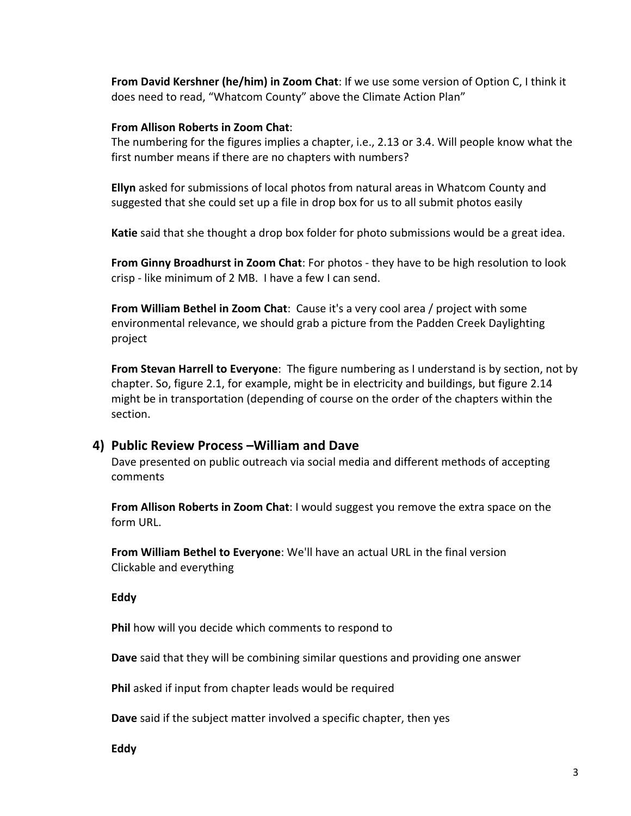**From David Kershner (he/him) in Zoom Chat**: If we use some version of Option C, I think it does need to read, "Whatcom County" above the Climate Action Plan"

#### **From Allison Roberts in Zoom Chat**:

The numbering for the figures implies a chapter, i.e., 2.13 or 3.4. Will people know what the first number means if there are no chapters with numbers?

**Ellyn** asked for submissions of local photos from natural areas in Whatcom County and suggested that she could set up a file in drop box for us to all submit photos easily

**Katie** said that she thought a drop box folder for photo submissions would be a great idea.

**From Ginny Broadhurst in Zoom Chat**: For photos - they have to be high resolution to look crisp - like minimum of 2 MB. I have a few I can send.

**From William Bethel in Zoom Chat**: Cause it's a very cool area / project with some environmental relevance, we should grab a picture from the Padden Creek Daylighting project

**From Stevan Harrell to Everyone**: The figure numbering as I understand is by section, not by chapter. So, figure 2.1, for example, might be in electricity and buildings, but figure 2.14 might be in transportation (depending of course on the order of the chapters within the section.

#### **4) Public Review Process –William and Dave**

Dave presented on public outreach via social media and different methods of accepting comments

**From Allison Roberts in Zoom Chat**: I would suggest you remove the extra space on the form URL.

**From William Bethel to Everyone**: We'll have an actual URL in the final version Clickable and everything

#### **Eddy**

**Phil** how will you decide which comments to respond to

**Dave** said that they will be combining similar questions and providing one answer

**Phil** asked if input from chapter leads would be required

**Dave** said if the subject matter involved a specific chapter, then yes

**Eddy**